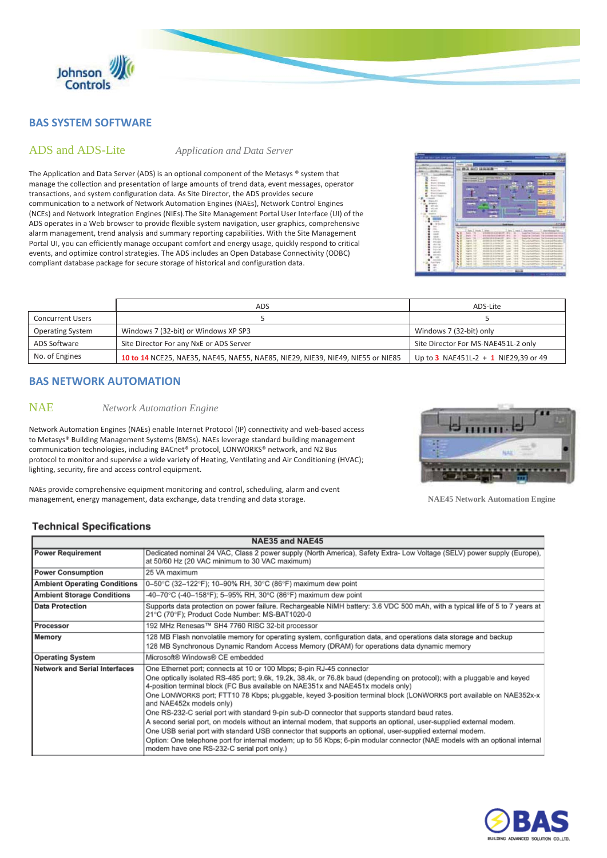

## **BAS SYSTEM SOFTWARE**

## ADS and ADS-Lite *Application and Data Server*

The Application and Data Server (ADS) is an optional component of the Metasys ® system that manage the collection and presentation of large amounts of trend data, event messages, operator transactions, and system configuration data. As Site Director, the ADS provides secure communication to a network of Network Automation Engines (NAEs), Network Control Engines (NCEs) and Network Integration Engines (NIEs).The Site Management Portal User Interface (UI) of the ADS operates in a Web browser to provide flexible system navigation, user graphics, comprehensive alarm management, trend analysis and summary reporting capabilities. With the Site Management Portal UI, you can efficiently manage occupant comfort and energy usage, quickly respond to critical events, and optimize control strategies. The ADS includes an Open Database Connectivity (ODBC) compliant database package for secure storage of historical and configuration data.



|                         | ADS                                                                             | ADS-Lite                             |
|-------------------------|---------------------------------------------------------------------------------|--------------------------------------|
| <b>Concurrent Users</b> |                                                                                 |                                      |
| <b>Operating System</b> | Windows 7 (32-bit) or Windows XP SP3                                            | Windows 7 (32-bit) only              |
| ADS Software            | Site Director For any NxE or ADS Server                                         | Site Director For MS-NAE451L-2 only  |
| No. of Engines          | 10 to 14 NCE25, NAE35, NAE45, NAE55, NAE85, NIE29, NIE39, NIE49, NIE55 or NIE85 | Up to 3 NAE451L-2 + 1 NIE29,39 or 49 |

## **BAS NETWORK AUTOMATION**

## NAE *Network Automation Engine*

Network Automation Engines (NAEs) enable Internet Protocol (IP) connectivity and web-based access to Metasys® Building Management Systems (BMSs). NAEs leverage standard building management communication technologies, including BACnet® protocol, LONWORKS® network, and N2 Bus protocol to monitor and supervise a wide variety of Heating, Ventilating and Air Conditioning (HVAC); lighting, security, fire and access control equipment.

NAEs provide comprehensive equipment monitoring and control, scheduling, alarm and event



management, energy management, data exchange, data trending and data storage. **NAE45 Network Automation Engine**

## **Technical Specifications**

| NAE35 and NAE45                     |                                                                                                                                                                                                                                                                                                                                                                                                                                                                                                                                                                                                                                                                                                                                                                                                                                                                                                                                                           |  |
|-------------------------------------|-----------------------------------------------------------------------------------------------------------------------------------------------------------------------------------------------------------------------------------------------------------------------------------------------------------------------------------------------------------------------------------------------------------------------------------------------------------------------------------------------------------------------------------------------------------------------------------------------------------------------------------------------------------------------------------------------------------------------------------------------------------------------------------------------------------------------------------------------------------------------------------------------------------------------------------------------------------|--|
| <b>Power Requirement</b>            | Dedicated nominal 24 VAC, Class 2 power supply (North America), Safety Extra- Low Voltage (SELV) power supply (Europe),<br>at 50/60 Hz (20 VAC minimum to 30 VAC maximum)                                                                                                                                                                                                                                                                                                                                                                                                                                                                                                                                                                                                                                                                                                                                                                                 |  |
| <b>Power Consumption</b>            | 25 VA maximum                                                                                                                                                                                                                                                                                                                                                                                                                                                                                                                                                                                                                                                                                                                                                                                                                                                                                                                                             |  |
| <b>Ambient Operating Conditions</b> | 0-50°C (32-122°F); 10-90% RH, 30°C (86°F) maximum dew point                                                                                                                                                                                                                                                                                                                                                                                                                                                                                                                                                                                                                                                                                                                                                                                                                                                                                               |  |
| <b>Ambient Storage Conditions</b>   | -40-70°C (-40-158°F); 5-95% RH, 30°C (86°F) maximum dew point                                                                                                                                                                                                                                                                                                                                                                                                                                                                                                                                                                                                                                                                                                                                                                                                                                                                                             |  |
| <b>Data Protection</b>              | Supports data protection on power failure. Rechargeable NiMH battery: 3.6 VDC 500 mAh, with a typical life of 5 to 7 years at<br>21°C (70°F); Product Code Number: MS-BAT1020-0                                                                                                                                                                                                                                                                                                                                                                                                                                                                                                                                                                                                                                                                                                                                                                           |  |
| Processor                           | 192 MHz Renesas™ SH4 7760 RISC 32-bit processor                                                                                                                                                                                                                                                                                                                                                                                                                                                                                                                                                                                                                                                                                                                                                                                                                                                                                                           |  |
| Memory                              | 128 MB Flash nonvolatile memory for operating system, configuration data, and operations data storage and backup<br>128 MB Synchronous Dynamic Random Access Memory (DRAM) for operations data dynamic memory                                                                                                                                                                                                                                                                                                                                                                                                                                                                                                                                                                                                                                                                                                                                             |  |
| <b>Operating System</b>             | Microsoft® Windows® CE embedded                                                                                                                                                                                                                                                                                                                                                                                                                                                                                                                                                                                                                                                                                                                                                                                                                                                                                                                           |  |
| Network and Serial Interfaces       | One Ethernet port; connects at 10 or 100 Mbps; 8-pin RJ-45 connector<br>One optically isolated RS-485 port; 9.6k, 19.2k, 38.4k, or 76.8k baud (depending on protocol); with a pluggable and keyed<br>4-position terminal block (FC Bus available on NAE351x and NAE451x models only)<br>One LONWORKS port; FTT10 78 Kbps; pluggable, keyed 3-position terminal block (LONWORKS port available on NAE352x-x<br>and NAE452x models only)<br>One RS-232-C serial port with standard 9-pin sub-D connector that supports standard baud rates.<br>A second serial port, on models without an internal modem, that supports an optional, user-supplied external modem.<br>One USB serial port with standard USB connector that supports an optional, user-supplied external modem.<br>Option: One telephone port for internal modem; up to 56 Kbps; 6-pin modular connector (NAE models with an optional internal<br>modem have one RS-232-C serial port only.) |  |

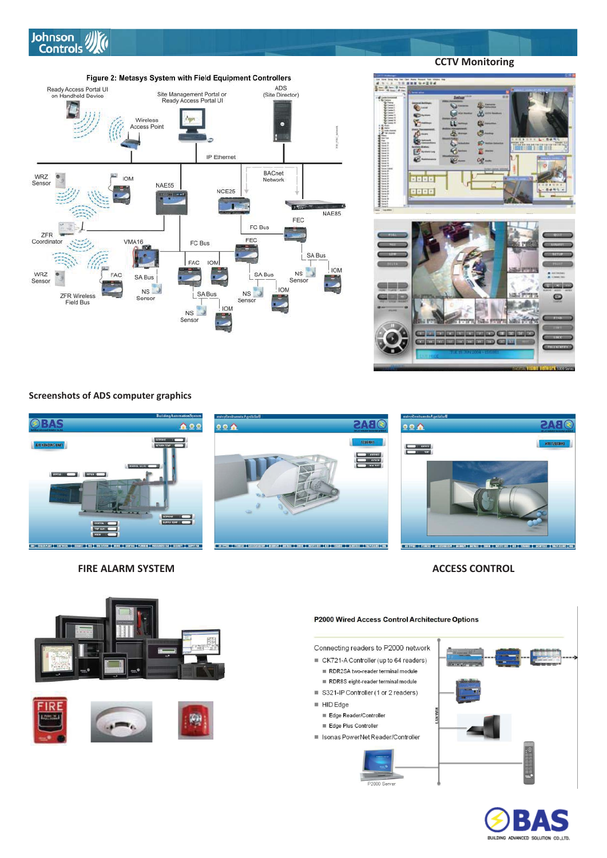

Figure 2: Metasys System with Field Equipment Controllers Ready Access Portal UI<br>on Handheld Device ADS<br>(Site Director) Site Management Portal or<br>Ready Access Portal UI Wireless<br>Access Point Aur r. ä IP Ethernet **BACnet** WR7 **IOM** Network Senso NAE55 NCE25 D **NAE85** FEC FC Bus ÷ ZFR FEC **VMA16** Coordinator FC Bus SA Bus FAC **IOM JOM**  $\overline{\phantom{a}}$ WRZ<br>Sensor  $NS$ FAC SA Bus SA Bus Senso  $NS$ **IOM**  $NS$ SA Bus **ZFR Wireless** Sensor Sensor **Field Bus**  $|_{IOM}$  $NS$ F. Sensor



**Screenshots of ADS computer graphics**



**FIRE ALARM SYSTEM ACCESS CONTROL** 





## P2000 Wired Access Control Architecture Options

Connecting readers to P2000 network

■ CK721-A Controller (up to 64 readers) RDR2SA two-reader terminal module

- RDR8S eight-reader terminal module
- S321-IP Controller (1 or 2 readers)
- $HIDEdge$ 
	- Edge Reader/Controller Edge Plus Controller
- Isonas PowerNet Reader/Controller







 **CCTV Monitoring**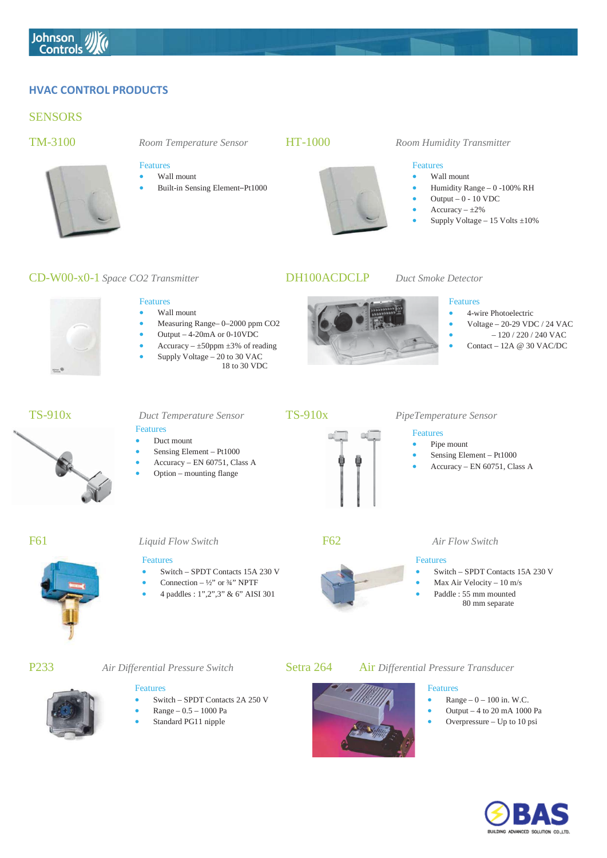## **HVAC CONTROL PRODUCTS**

## **SENSORS**

## Features



### $\overline{\phantom{a}}$ Wall mount

Features

Built-in Sensing Element-Pt1000

x Measuring Range– 0–2000 ppm CO2 Output  $-4-20$ mA or 0-10VDC Accuracy –  $\pm$ 50ppm  $\pm$ 3% of reading x Supply Voltage – 20 to 30 VAC

18 to 30 VDC



## TM-3100 *Room Temperature Sensor* HT-1000 *Room Humidity Transmitter*

### Features

- Wall mount
- x Humidity Range 0 -100% RH
- Output  $-0 10$  VDC
- $Accuracy \pm 2\%$
- Supply Voltage  $15$  Volts  $\pm 10\%$

## CD-W00-x0-1 *Space CO2 Transmitter* DH100ACDCLP *Duct Smoke Detector*



## Features

- 4-wire Photoelectric
- x Voltage 20-29 VDC / 24 VAC
- $-120/220/240$  VAC
- x Contact 12A @ 30 VAC/DC



x Wall mount

## Features

- Duct mount
- Sensing Element Pt1000
- x Accuracy EN 60751, Class A
- Option mounting flange



## TS-910x *Duct Temperature Sensor* TS-910x *PipeTemperature Sensor*

## Features

- Pipe mount
- Sensing Element Pt1000
- x Accuracy EN 60751, Class A

## Features

- x Switch SPDT Contacts 15A 230 V
- Connection  $-\frac{1}{2}$ " or  $\frac{3}{4}$ " NPTF
- x 4 paddles : 1",2",3" & 6" AISI 301



## F61 *Liquid Flow Switch* F62 *Air Flow Switch*

## Features

- x Switch SPDT Contacts 15A 230 V
- x Max Air Velocity 10 m/s
- Paddle : 55 mm mounted
- 80 mm separate

## Features

- x Switch SPDT Contacts 2A 250 V
- x Range 0.5 1000 Pa
- Standard PG11 nipple

## P233 Air Differential Pressure Switch **Setra 264** Air Differential Pressure Transducer



- Features
- $Range 0 100$  in. W.C. x Output – 4 to 20 mA 1000 Pa
- Overpressure Up to 10 psi





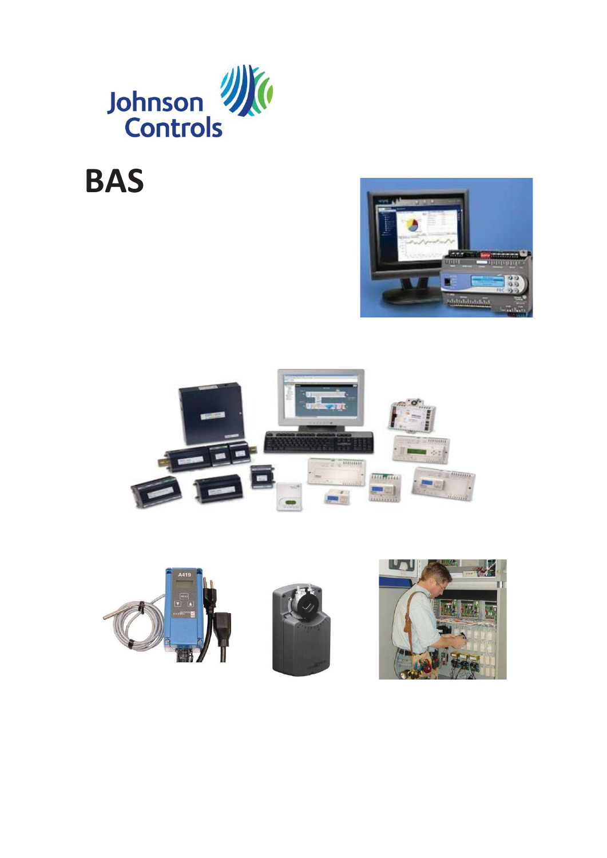